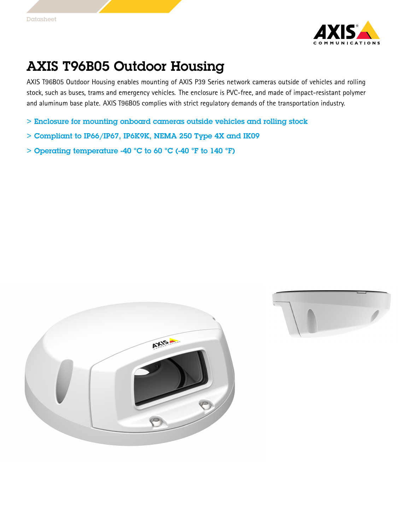

## AXIS T96B05 Outdoor Housing

AXIS T96B05 Outdoor Housing enables mounting of AXIS P39 Series network cameras outside of vehicles and rolling stock, such as buses, trams and emergency vehicles. The enclosure is PVC-free, and made of impact-resistant polymer and aluminum base plate. AXIS T96B05 complies with strict regulatory demands of the transportation industry.

- > Enclosure for mounting onboard cameras outside vehicles and rolling stock
- $>$  Compliant to IP66/IP67, IP6K9K, NEMA 250 Type 4X and IK09
- $>$  Operating temperature -40 °C to 60 °C (-40 °F to 140 °F)